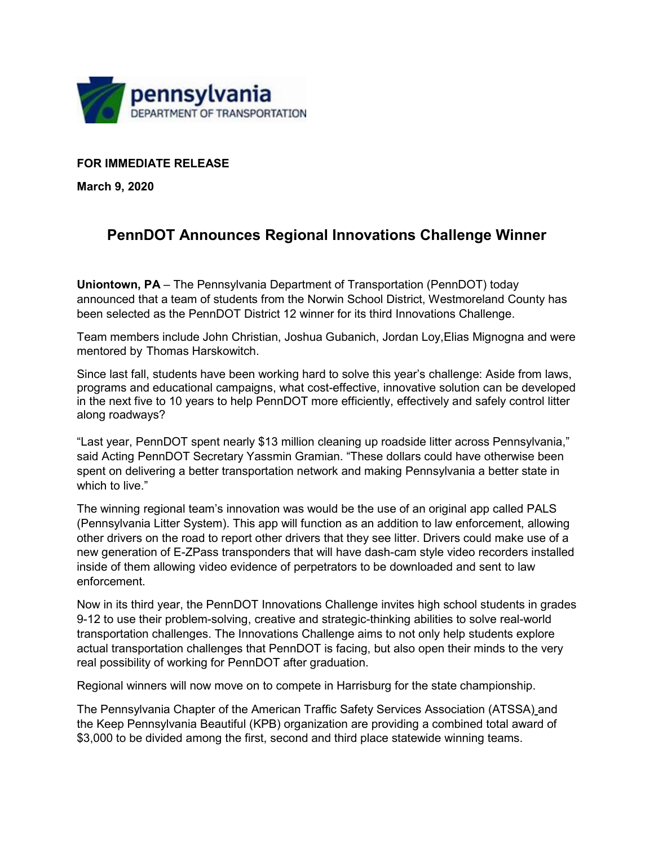

## **FOR IMMEDIATE RELEASE**

**March 9, 2020**

## **PennDOT Announces Regional Innovations Challenge Winner**

**Uniontown, PA** – The Pennsylvania Department of Transportation (PennDOT) today announced that a team of students from the Norwin School District, Westmoreland County has been selected as the PennDOT District 12 winner for its third Innovations Challenge.

Team members include John Christian, Joshua Gubanich, Jordan Loy,Elias Mignogna and were mentored by Thomas Harskowitch.

Since last fall, students have been working hard to solve this year's challenge: Aside from laws, programs and educational campaigns, what cost-effective, innovative solution can be developed in the next five to 10 years to help PennDOT more efficiently, effectively and safely control litter along roadways?

"Last year, PennDOT spent nearly \$13 million cleaning up roadside litter across Pennsylvania," said Acting PennDOT Secretary Yassmin Gramian. "These dollars could have otherwise been spent on delivering a better transportation network and making Pennsylvania a better state in which to live."

The winning regional team's innovation was would be the use of an original app called PALS (Pennsylvania Litter System). This app will function as an addition to law enforcement, allowing other drivers on the road to report other drivers that they see litter. Drivers could make use of a new generation of E-ZPass transponders that will have dash-cam style video recorders installed inside of them allowing video evidence of perpetrators to be downloaded and sent to law enforcement.

Now in its third year, the PennDOT Innovations Challenge invites high school students in grades 9-12 to use their problem-solving, creative and strategic-thinking abilities to solve real-world transportation challenges. The Innovations Challenge aims to not only help students explore actual transportation challenges that PennDOT is facing, but also open their minds to the very real possibility of working for PennDOT after graduation.

Regional winners will now move on to compete in Harrisburg for the state championship.

The Pennsylvania Chapter of the American Traffic Safety Services Association (ATSSA) and the Keep Pennsylvania Beautiful (KPB) organization are providing a combined total award of \$3,000 to be divided among the first, second and third place statewide winning teams.